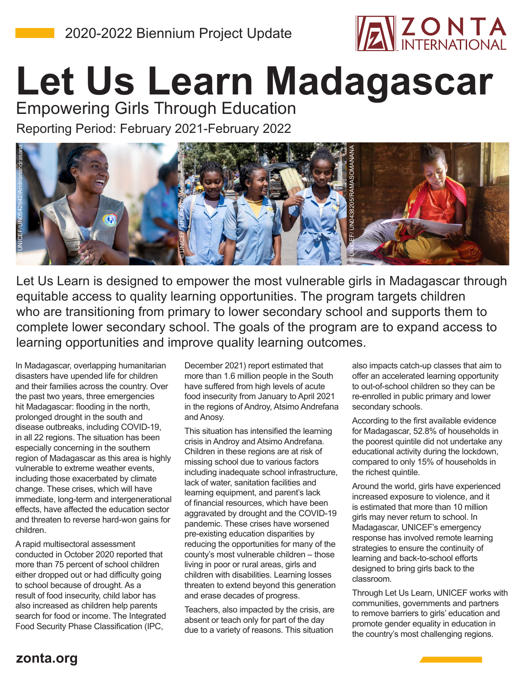

## **Let Us Learn Madagascar**

Reporting Period: February 2021-February 2022 Empowering Girls Through Education



Let Us Learn is designed to empower the most vulnerable girls in Madagascar through equitable access to quality learning opportunities. The program targets children who are transitioning from primary to lower secondary school and supports them to complete lower secondary school. The goals of the program are to expand access to learning opportunities and improve quality learning outcomes.

In Madagascar, overlapping humanitarian disasters have upended life for children and their families across the country. Over the past two years, three emergencies hit Madagascar: flooding in the north, prolonged drought in the south and disease outbreaks, including COVID-19, in all 22 regions. The situation has been especially concerning in the southern region of Madagascar as this area is highly vulnerable to extreme weather events, including those exacerbated by climate change. These crises, which will have immediate, long-term and intergenerational effects, have affected the education sector and threaten to reverse hard-won gains for children.

A rapid multisectoral assessment conducted in October 2020 reported that more than 75 percent of school children either dropped out or had difficulty going to school because of drought. As a result of food insecurity, child labor has also increased as children help parents search for food or income. The Integrated Food Security Phase Classification (IPC,

December 2021) report estimated that more than 1.6 million people in the South have suffered from high levels of acute food insecurity from January to April 2021 in the regions of Androy, Atsimo Andrefana and Anosy.

This situation has intensified the learning crisis in Androy and Atsimo Andrefana. Children in these regions are at risk of missing school due to various factors including inadequate school infrastructure, lack of water, sanitation facilities and learning equipment, and parent's lack of financial resources, which have been aggravated by drought and the COVID-19 pandemic. These crises have worsened pre-existing education disparities by reducing the opportunities for many of the county's most vulnerable children – those living in poor or rural areas, girls and children with disabilities. Learning losses threaten to extend beyond this generation and erase decades of progress.

Teachers, also impacted by the crisis, are absent or teach only for part of the day due to a variety of reasons. This situation

also impacts catch-up classes that aim to offer an accelerated learning opportunity to out-of-school children so they can be re-enrolled in public primary and lower secondary schools.

According to the first available evidence for Madagascar, 52.8% of households in the poorest quintile did not undertake any educational activity during the lockdown, compared to only 15% of households in the richest quintile.

Around the world, girls have experienced increased exposure to violence, and it is estimated that more than 10 million girls may never return to school. In Madagascar, UNICEF's emergency response has involved remote learning strategies to ensure the continuity of learning and back-to-school efforts designed to bring girls back to the classroom.

Through Let Us Learn, UNICEF works with communities, governments and partners to remove barriers to girls' education and promote gender equality in education in the country's most challenging regions.